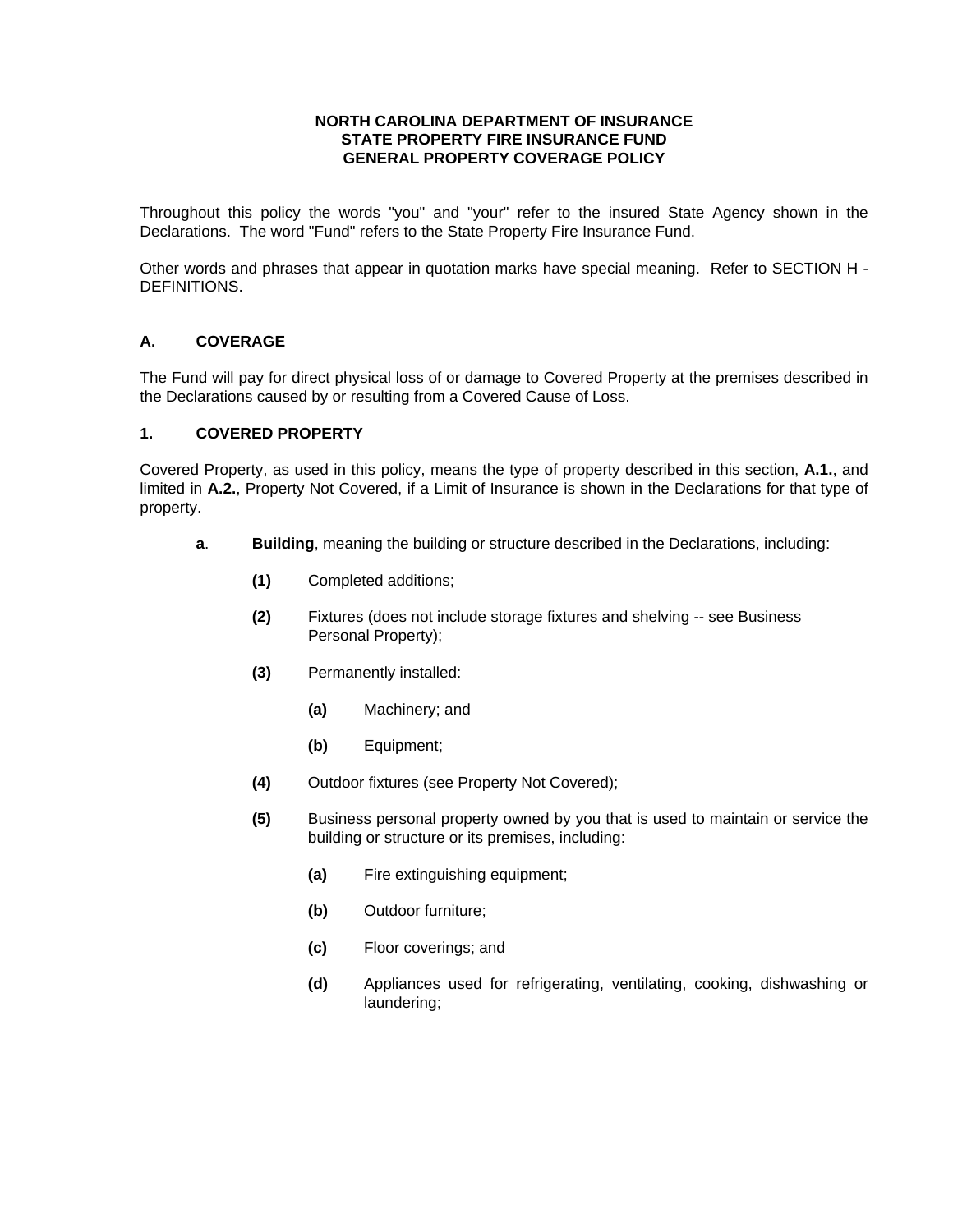#### **NORTH CAROLINA DEPARTMENT OF INSURANCE STATE PROPERTY FIRE INSURANCE FUND GENERAL PROPERTY COVERAGE POLICY**

Throughout this policy the words "you" and "your" refer to the insured State Agency shown in the Declarations. The word "Fund" refers to the State Property Fire Insurance Fund.

Other words and phrases that appear in quotation marks have special meaning. Refer to SECTION H - DEFINITIONS.

## **A. COVERAGE**

The Fund will pay for direct physical loss of or damage to Covered Property at the premises described in the Declarations caused by or resulting from a Covered Cause of Loss.

## **1. COVERED PROPERTY**

Covered Property, as used in this policy, means the type of property described in this section, **A.1.**, and limited in **A.2.**, Property Not Covered, if a Limit of Insurance is shown in the Declarations for that type of property.

- **a**. **Building**, meaning the building or structure described in the Declarations, including:
	- **(1)** Completed additions;
	- **(2)** Fixtures (does not include storage fixtures and shelving -- see Business Personal Property);
	- **(3)** Permanently installed:
		- **(a)** Machinery; and
		- **(b)** Equipment;
	- **(4)** Outdoor fixtures (see Property Not Covered);
	- **(5)** Business personal property owned by you that is used to maintain or service the building or structure or its premises, including:
		- **(a)** Fire extinguishing equipment;
		- **(b)** Outdoor furniture;
		- **(c)** Floor coverings; and
		- **(d)** Appliances used for refrigerating, ventilating, cooking, dishwashing or laundering;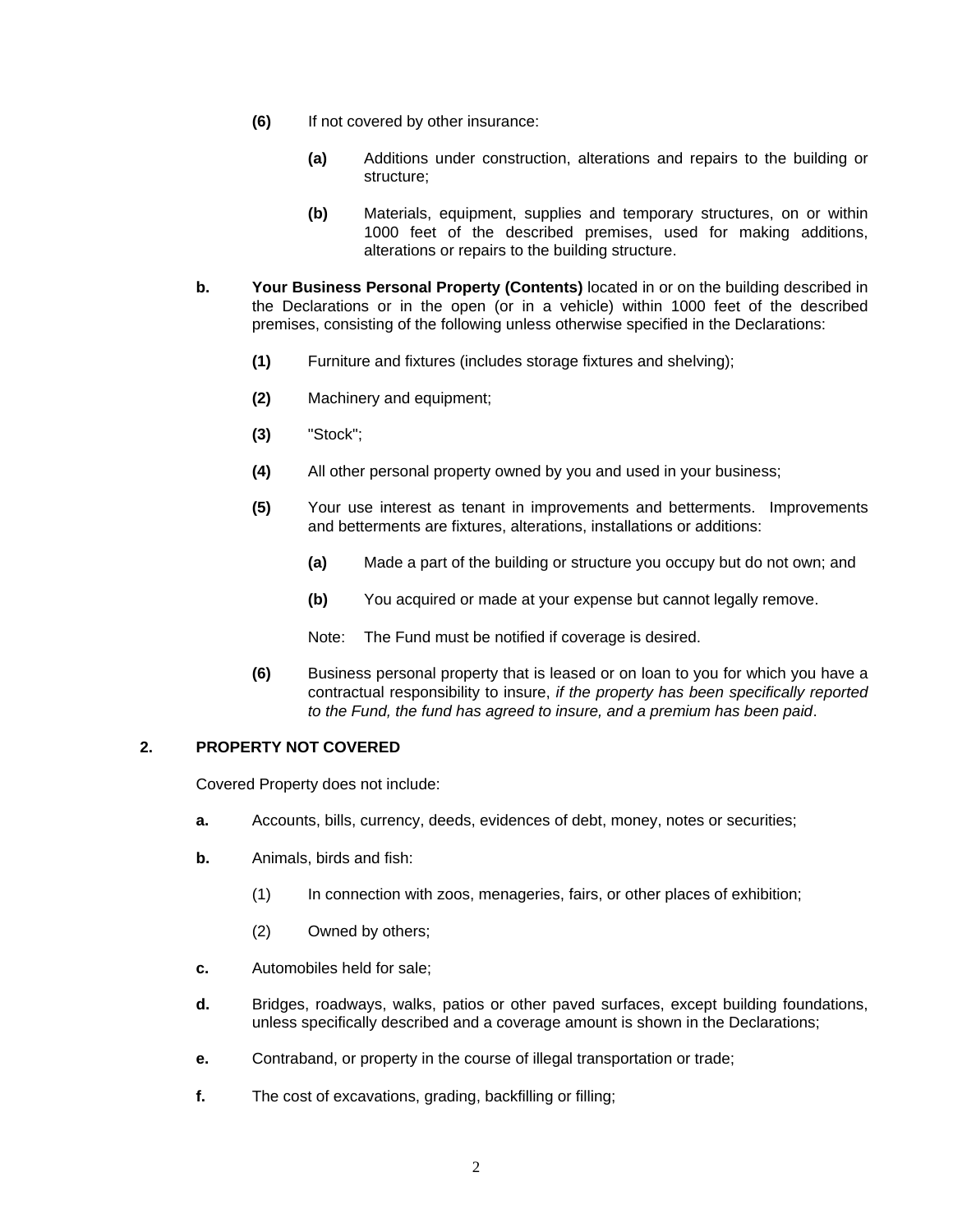- **(6)** If not covered by other insurance:
	- **(a)** Additions under construction, alterations and repairs to the building or structure;
	- **(b)** Materials, equipment, supplies and temporary structures, on or within 1000 feet of the described premises, used for making additions, alterations or repairs to the building structure.
- **b. Your Business Personal Property (Contents)** located in or on the building described in the Declarations or in the open (or in a vehicle) within 1000 feet of the described premises, consisting of the following unless otherwise specified in the Declarations:
	- **(1)** Furniture and fixtures (includes storage fixtures and shelving);
	- **(2)** Machinery and equipment;
	- **(3)** "Stock";
	- **(4)** All other personal property owned by you and used in your business;
	- **(5)** Your use interest as tenant in improvements and betterments. Improvements and betterments are fixtures, alterations, installations or additions:
		- **(a)** Made a part of the building or structure you occupy but do not own; and
		- **(b)** You acquired or made at your expense but cannot legally remove.
		- Note: The Fund must be notified if coverage is desired.
	- **(6)** Business personal property that is leased or on loan to you for which you have a contractual responsibility to insure, *if the property has been specifically reported to the Fund, the fund has agreed to insure, and a premium has been paid*.

#### **2. PROPERTY NOT COVERED**

Covered Property does not include:

- **a.** Accounts, bills, currency, deeds, evidences of debt, money, notes or securities;
- **b.** Animals, birds and fish:
	- (1) In connection with zoos, menageries, fairs, or other places of exhibition;
	- (2) Owned by others;
- **c.** Automobiles held for sale;
- **d.** Bridges, roadways, walks, patios or other paved surfaces, except building foundations, unless specifically described and a coverage amount is shown in the Declarations;
- **e.** Contraband, or property in the course of illegal transportation or trade;
- **f.** The cost of excavations, grading, backfilling or filling;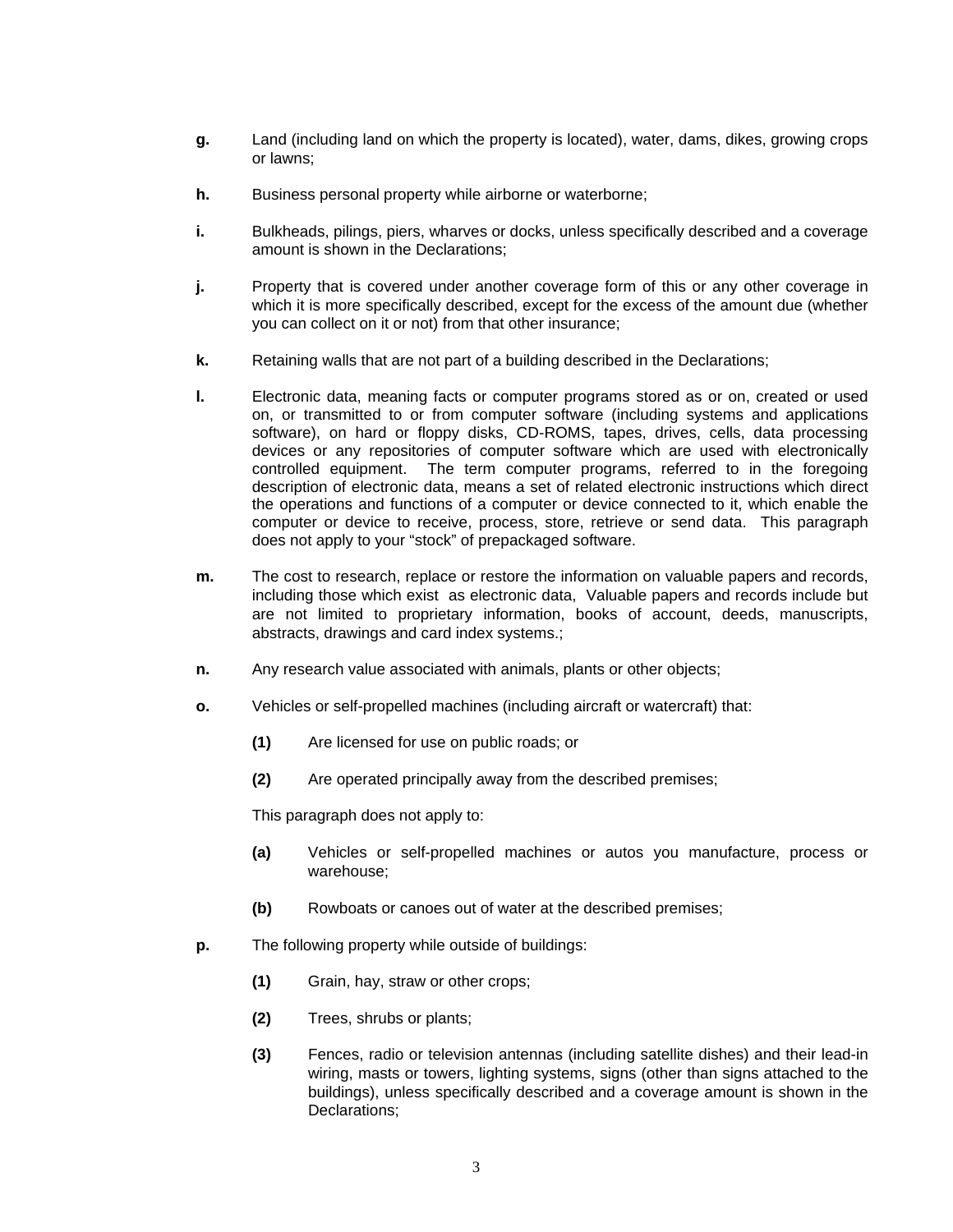- **g.** Land (including land on which the property is located), water, dams, dikes, growing crops or lawns;
- **h.** Business personal property while airborne or waterborne;
- **i.** Bulkheads, pilings, piers, wharves or docks, unless specifically described and a coverage amount is shown in the Declarations;
- **j.** Property that is covered under another coverage form of this or any other coverage in which it is more specifically described, except for the excess of the amount due (whether you can collect on it or not) from that other insurance;
- **k.** Retaining walls that are not part of a building described in the Declarations;
- **l.** Electronic data, meaning facts or computer programs stored as or on, created or used on, or transmitted to or from computer software (including systems and applications software), on hard or floppy disks, CD-ROMS, tapes, drives, cells, data processing devices or any repositories of computer software which are used with electronically controlled equipment. The term computer programs, referred to in the foregoing description of electronic data, means a set of related electronic instructions which direct the operations and functions of a computer or device connected to it, which enable the computer or device to receive, process, store, retrieve or send data. This paragraph does not apply to your "stock" of prepackaged software.
- **m.** The cost to research, replace or restore the information on valuable papers and records, including those which exist as electronic data, Valuable papers and records include but are not limited to proprietary information, books of account, deeds, manuscripts, abstracts, drawings and card index systems.;
- **n.** Any research value associated with animals, plants or other objects;
- **o.** Vehicles or self-propelled machines (including aircraft or watercraft) that:
	- **(1)** Are licensed for use on public roads; or
	- **(2)** Are operated principally away from the described premises;

This paragraph does not apply to:

- **(a)** Vehicles or self-propelled machines or autos you manufacture, process or warehouse;
- **(b)** Rowboats or canoes out of water at the described premises;
- **p.** The following property while outside of buildings:
	- **(1)** Grain, hay, straw or other crops;
	- **(2)** Trees, shrubs or plants;
	- **(3)** Fences, radio or television antennas (including satellite dishes) and their lead-in wiring, masts or towers, lighting systems, signs (other than signs attached to the buildings), unless specifically described and a coverage amount is shown in the Declarations;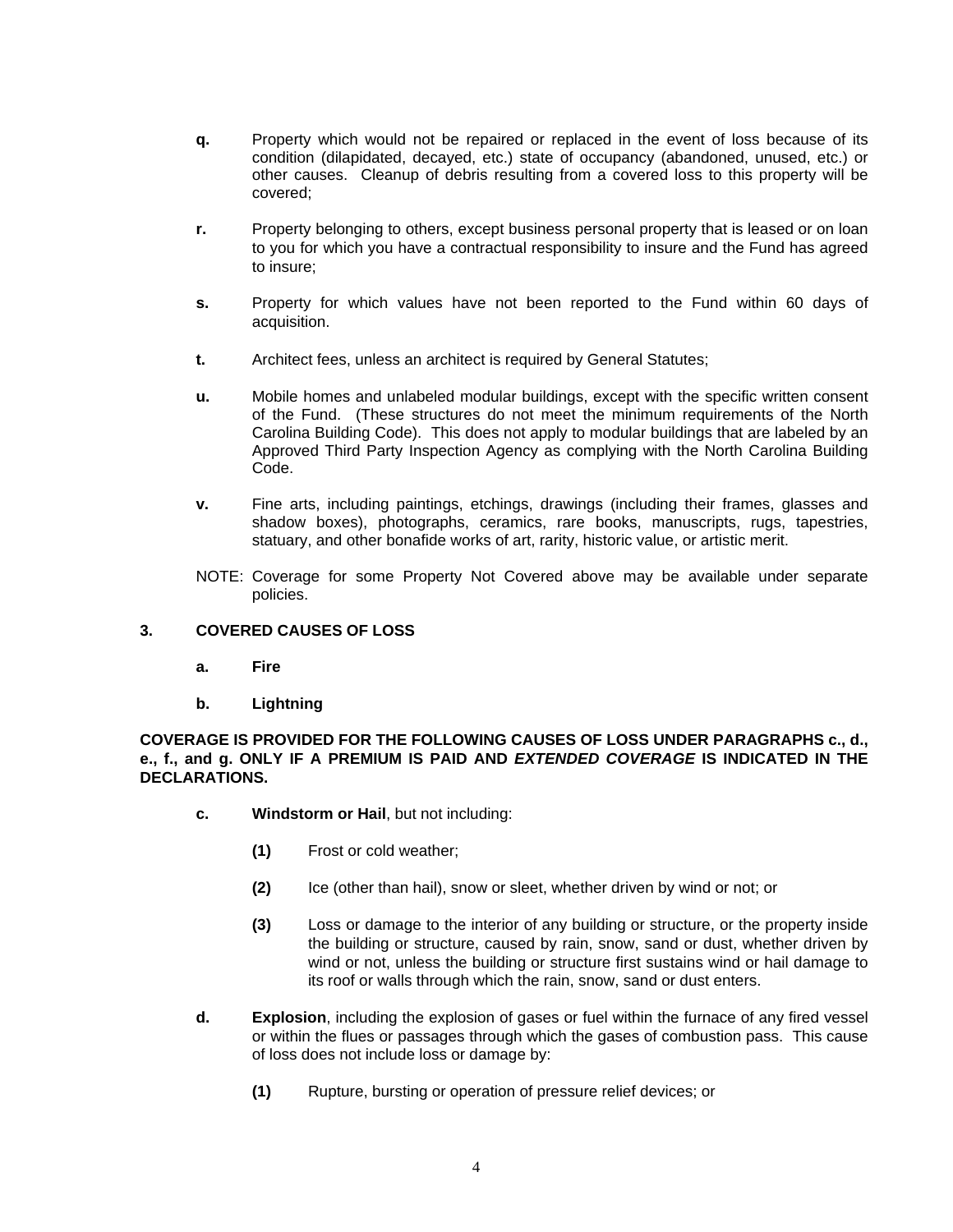- **q.** Property which would not be repaired or replaced in the event of loss because of its condition (dilapidated, decayed, etc.) state of occupancy (abandoned, unused, etc.) or other causes. Cleanup of debris resulting from a covered loss to this property will be covered;
- **r.** Property belonging to others, except business personal property that is leased or on loan to you for which you have a contractual responsibility to insure and the Fund has agreed to insure;
- **s.** Property for which values have not been reported to the Fund within 60 days of acquisition.
- **t.** Architect fees, unless an architect is required by General Statutes;
- **u.** Mobile homes and unlabeled modular buildings, except with the specific written consent of the Fund. (These structures do not meet the minimum requirements of the North Carolina Building Code). This does not apply to modular buildings that are labeled by an Approved Third Party Inspection Agency as complying with the North Carolina Building Code.
- **v.** Fine arts, including paintings, etchings, drawings (including their frames, glasses and shadow boxes), photographs, ceramics, rare books, manuscripts, rugs, tapestries, statuary, and other bonafide works of art, rarity, historic value, or artistic merit.
- NOTE: Coverage for some Property Not Covered above may be available under separate policies.

## **3. COVERED CAUSES OF LOSS**

- **a. Fire**
- **b. Lightning**

**COVERAGE IS PROVIDED FOR THE FOLLOWING CAUSES OF LOSS UNDER PARAGRAPHS c., d., e., f., and g. ONLY IF A PREMIUM IS PAID AND** *EXTENDED COVERAGE* **IS INDICATED IN THE DECLARATIONS.** 

- **c. Windstorm or Hail**, but not including:
	- **(1)** Frost or cold weather;
	- **(2)** Ice (other than hail), snow or sleet, whether driven by wind or not; or
	- **(3)** Loss or damage to the interior of any building or structure, or the property inside the building or structure, caused by rain, snow, sand or dust, whether driven by wind or not, unless the building or structure first sustains wind or hail damage to its roof or walls through which the rain, snow, sand or dust enters.
- **d. Explosion**, including the explosion of gases or fuel within the furnace of any fired vessel or within the flues or passages through which the gases of combustion pass. This cause of loss does not include loss or damage by:
	- **(1)** Rupture, bursting or operation of pressure relief devices; or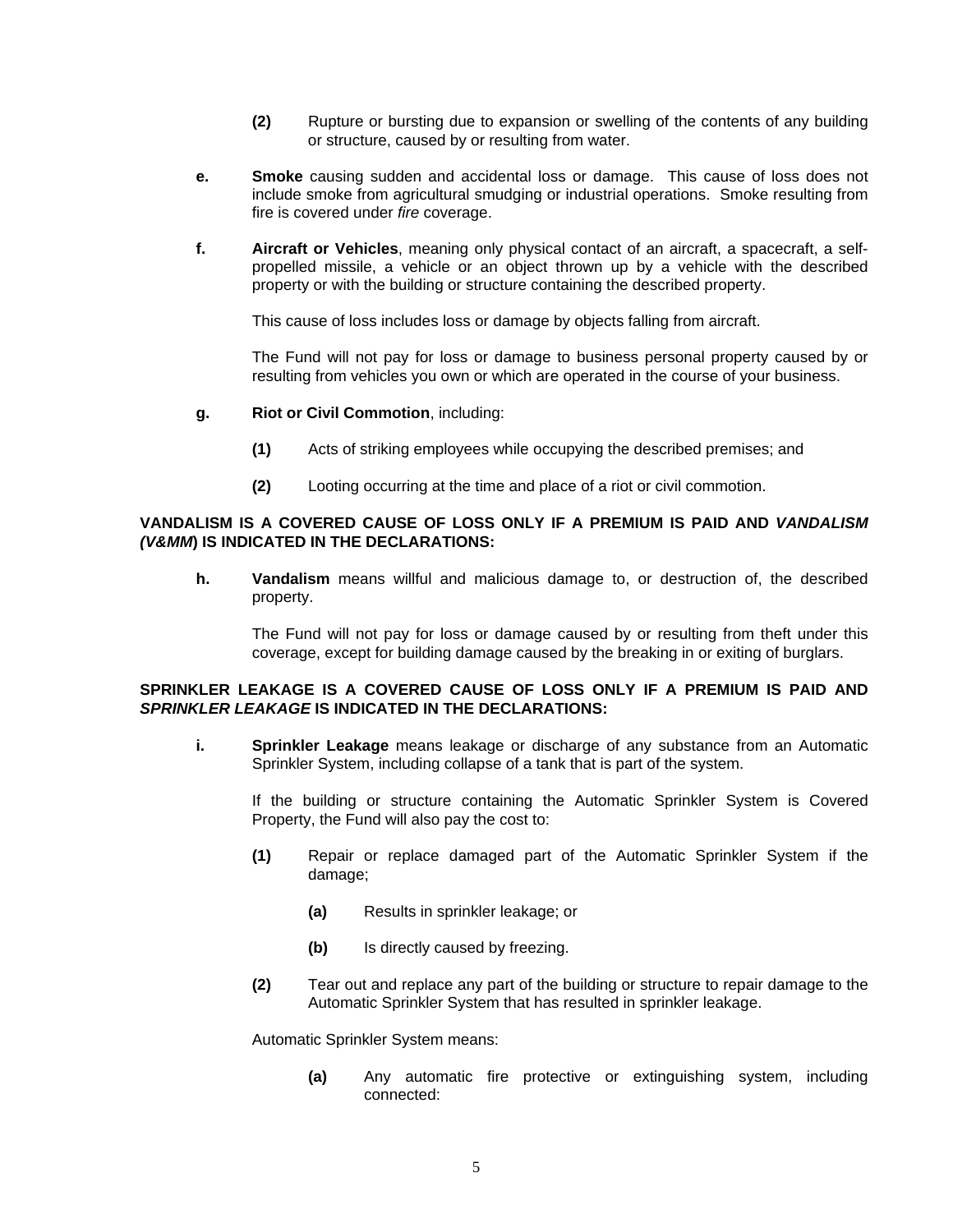- **(2)** Rupture or bursting due to expansion or swelling of the contents of any building or structure, caused by or resulting from water.
- **e. Smoke** causing sudden and accidental loss or damage. This cause of loss does not include smoke from agricultural smudging or industrial operations. Smoke resulting from fire is covered under *fire* coverage.
- **f. Aircraft or Vehicles**, meaning only physical contact of an aircraft, a spacecraft, a selfpropelled missile, a vehicle or an object thrown up by a vehicle with the described property or with the building or structure containing the described property.

This cause of loss includes loss or damage by objects falling from aircraft.

 The Fund will not pay for loss or damage to business personal property caused by or resulting from vehicles you own or which are operated in the course of your business.

- **g. Riot or Civil Commotion**, including:
	- **(1)** Acts of striking employees while occupying the described premises; and
	- **(2)** Looting occurring at the time and place of a riot or civil commotion.

#### **VANDALISM IS A COVERED CAUSE OF LOSS ONLY IF A PREMIUM IS PAID AND** *VANDALISM (V&MM***) IS INDICATED IN THE DECLARATIONS:**

**h. Vandalism** means willful and malicious damage to, or destruction of, the described property.

 The Fund will not pay for loss or damage caused by or resulting from theft under this coverage, except for building damage caused by the breaking in or exiting of burglars.

#### **SPRINKLER LEAKAGE IS A COVERED CAUSE OF LOSS ONLY IF A PREMIUM IS PAID AND**  *SPRINKLER LEAKAGE* **IS INDICATED IN THE DECLARATIONS:**

**i. Sprinkler Leakage** means leakage or discharge of any substance from an Automatic Sprinkler System, including collapse of a tank that is part of the system.

 If the building or structure containing the Automatic Sprinkler System is Covered Property, the Fund will also pay the cost to:

- **(1)** Repair or replace damaged part of the Automatic Sprinkler System if the damage;
	- **(a)** Results in sprinkler leakage; or
	- **(b)** Is directly caused by freezing.
- **(2)** Tear out and replace any part of the building or structure to repair damage to the Automatic Sprinkler System that has resulted in sprinkler leakage.

Automatic Sprinkler System means:

 **(a)** Any automatic fire protective or extinguishing system, including connected: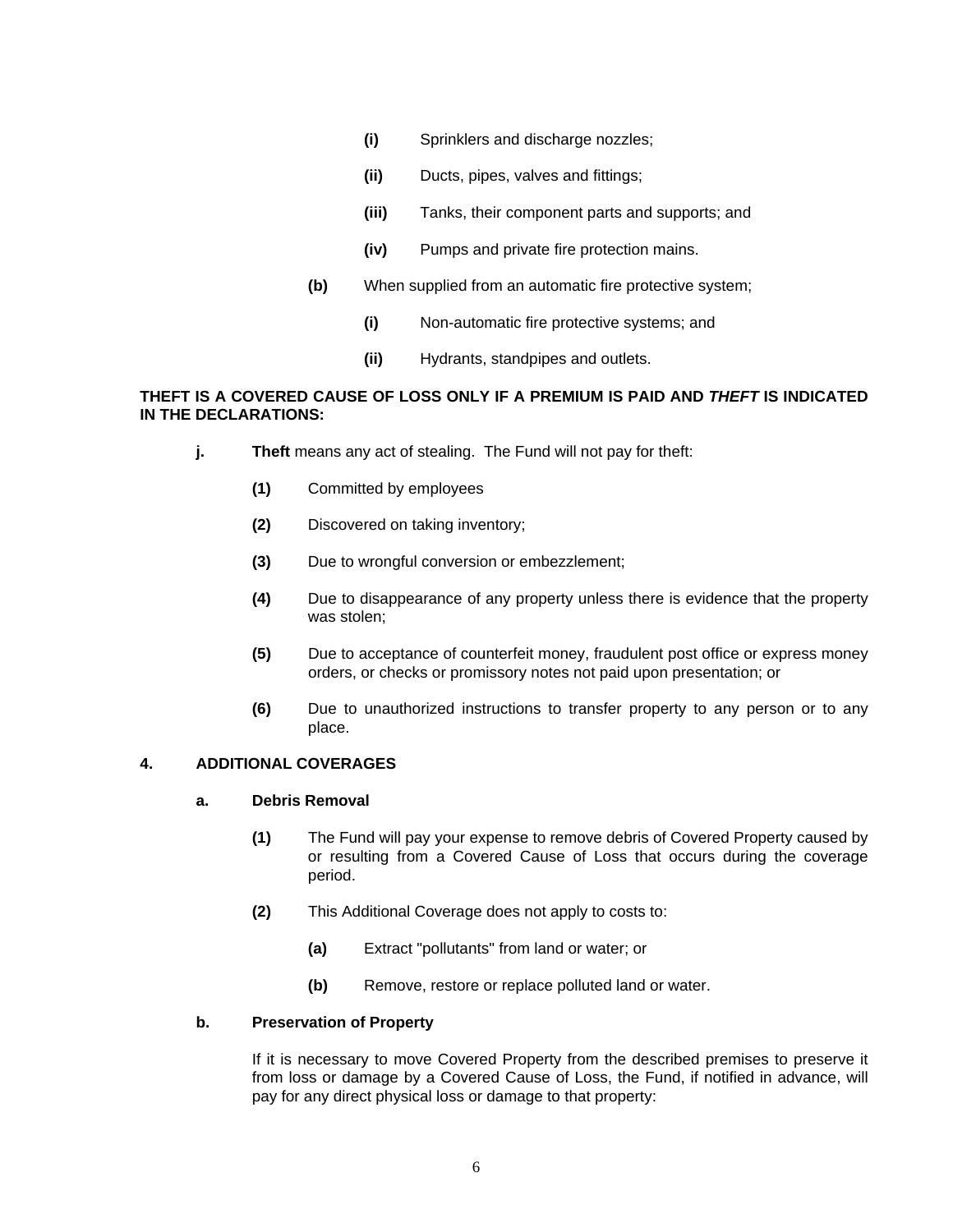- **(i)** Sprinklers and discharge nozzles;
- **(ii)** Ducts, pipes, valves and fittings;
- **(iii)** Tanks, their component parts and supports; and
- **(iv)** Pumps and private fire protection mains.
- **(b)** When supplied from an automatic fire protective system;
	- **(i)** Non-automatic fire protective systems; and
	- **(ii)** Hydrants, standpipes and outlets.

### **THEFT IS A COVERED CAUSE OF LOSS ONLY IF A PREMIUM IS PAID AND** *THEFT* **IS INDICATED IN THE DECLARATIONS:**

- **j. Theft** means any act of stealing. The Fund will not pay for theft:
	- **(1)** Committed by employees
	- **(2)** Discovered on taking inventory;
	- **(3)** Due to wrongful conversion or embezzlement;
	- **(4)** Due to disappearance of any property unless there is evidence that the property was stolen;
	- **(5)** Due to acceptance of counterfeit money, fraudulent post office or express money orders, or checks or promissory notes not paid upon presentation; or
	- **(6)** Due to unauthorized instructions to transfer property to any person or to any place.

### **4. ADDITIONAL COVERAGES**

#### **a. Debris Removal**

- **(1)** The Fund will pay your expense to remove debris of Covered Property caused by or resulting from a Covered Cause of Loss that occurs during the coverage period.
- **(2)** This Additional Coverage does not apply to costs to:
	- **(a)** Extract "pollutants" from land or water; or
	- **(b)** Remove, restore or replace polluted land or water.

#### **b. Preservation of Property**

 If it is necessary to move Covered Property from the described premises to preserve it from loss or damage by a Covered Cause of Loss, the Fund, if notified in advance, will pay for any direct physical loss or damage to that property: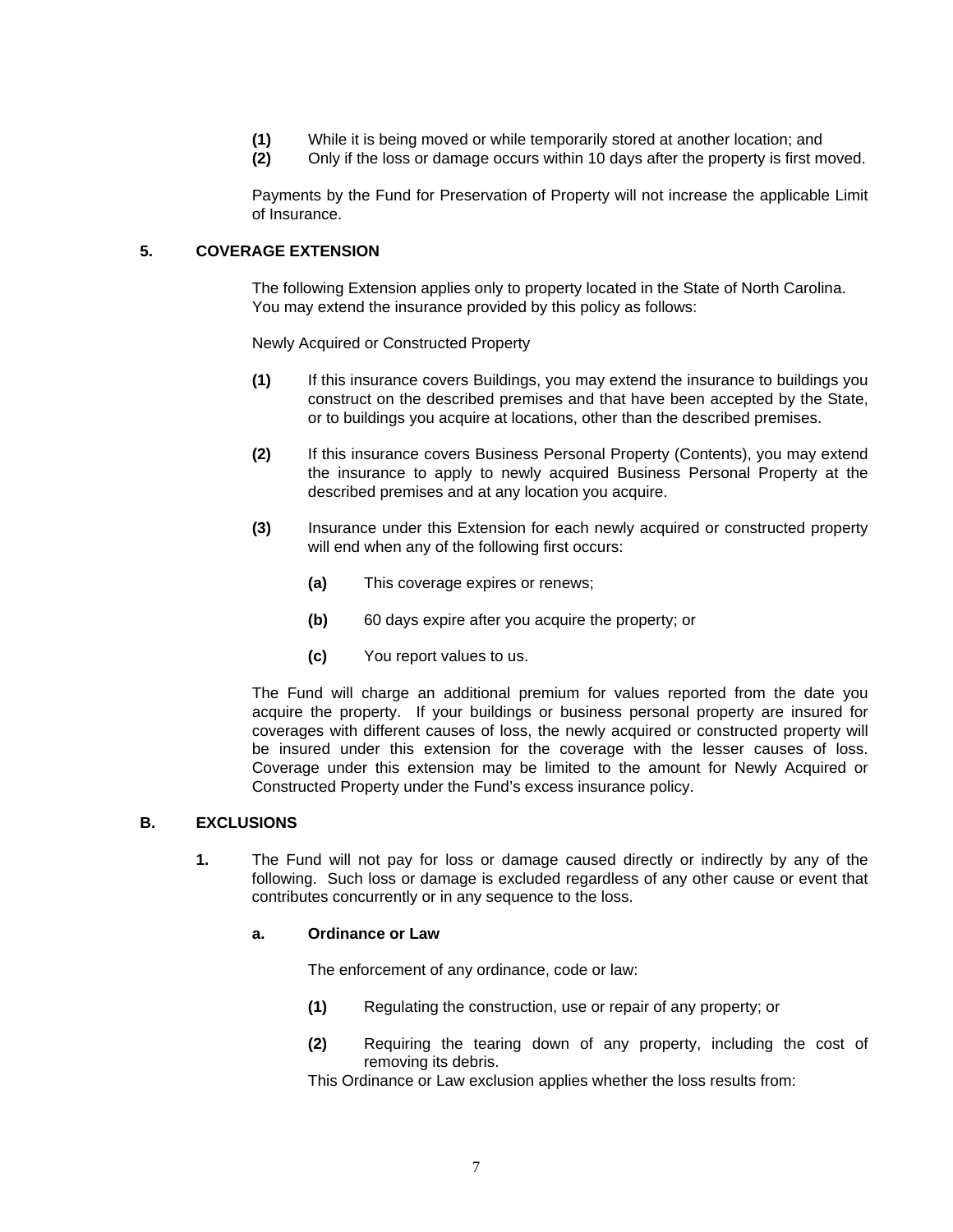- **(1)** While it is being moved or while temporarily stored at another location; and
- **(2)** Only if the loss or damage occurs within 10 days after the property is first moved.

 Payments by the Fund for Preservation of Property will not increase the applicable Limit of Insurance.

## **5. COVERAGE EXTENSION**

 The following Extension applies only to property located in the State of North Carolina. You may extend the insurance provided by this policy as follows:

Newly Acquired or Constructed Property

- **(1)** If this insurance covers Buildings, you may extend the insurance to buildings you construct on the described premises and that have been accepted by the State, or to buildings you acquire at locations, other than the described premises.
- **(2)** If this insurance covers Business Personal Property (Contents), you may extend the insurance to apply to newly acquired Business Personal Property at the described premises and at any location you acquire.
- **(3)** Insurance under this Extension for each newly acquired or constructed property will end when any of the following first occurs:
	- **(a)** This coverage expires or renews;
	- **(b)** 60 days expire after you acquire the property; or
	- **(c)** You report values to us.

 The Fund will charge an additional premium for values reported from the date you acquire the property. If your buildings or business personal property are insured for coverages with different causes of loss, the newly acquired or constructed property will be insured under this extension for the coverage with the lesser causes of loss. Coverage under this extension may be limited to the amount for Newly Acquired or Constructed Property under the Fund's excess insurance policy.

#### **B. EXCLUSIONS**

**1.** The Fund will not pay for loss or damage caused directly or indirectly by any of the following. Such loss or damage is excluded regardless of any other cause or event that contributes concurrently or in any sequence to the loss.

#### **a. Ordinance or Law**

The enforcement of any ordinance, code or law:

- **(1)** Regulating the construction, use or repair of any property; or
- **(2)** Requiring the tearing down of any property, including the cost of removing its debris.

This Ordinance or Law exclusion applies whether the loss results from: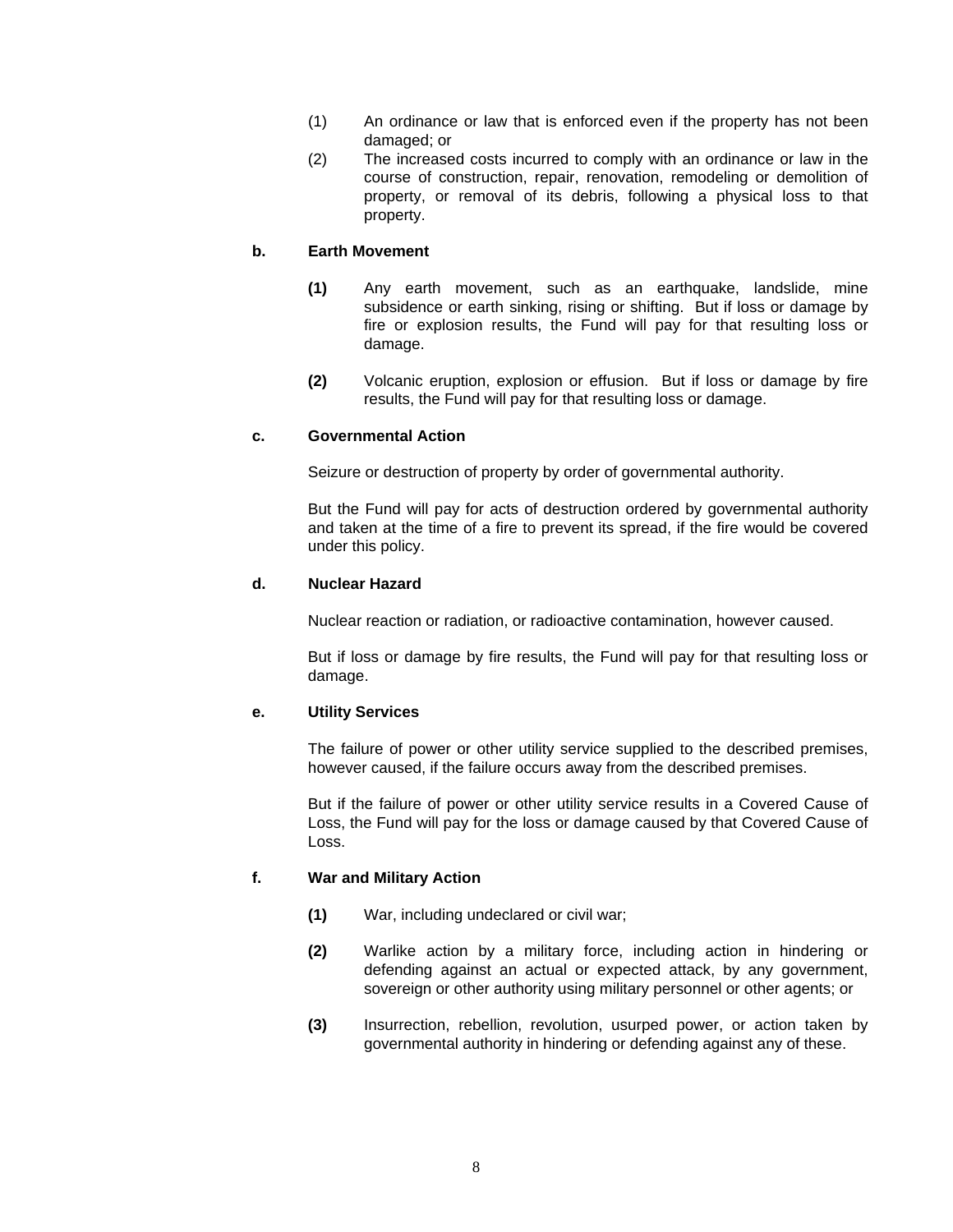- (1) An ordinance or law that is enforced even if the property has not been damaged; or
- (2) The increased costs incurred to comply with an ordinance or law in the course of construction, repair, renovation, remodeling or demolition of property, or removal of its debris, following a physical loss to that property.

### **b. Earth Movement**

- **(1)** Any earth movement, such as an earthquake, landslide, mine subsidence or earth sinking, rising or shifting. But if loss or damage by fire or explosion results, the Fund will pay for that resulting loss or damage.
- **(2)** Volcanic eruption, explosion or effusion. But if loss or damage by fire results, the Fund will pay for that resulting loss or damage.

## **c. Governmental Action**

Seizure or destruction of property by order of governmental authority.

 But the Fund will pay for acts of destruction ordered by governmental authority and taken at the time of a fire to prevent its spread, if the fire would be covered under this policy.

#### **d. Nuclear Hazard**

Nuclear reaction or radiation, or radioactive contamination, however caused.

 But if loss or damage by fire results, the Fund will pay for that resulting loss or damage.

#### **e. Utility Services**

 The failure of power or other utility service supplied to the described premises, however caused, if the failure occurs away from the described premises.

 But if the failure of power or other utility service results in a Covered Cause of Loss, the Fund will pay for the loss or damage caused by that Covered Cause of Loss.

#### **f. War and Military Action**

- **(1)** War, including undeclared or civil war;
- **(2)** Warlike action by a military force, including action in hindering or defending against an actual or expected attack, by any government, sovereign or other authority using military personnel or other agents; or
- **(3)** Insurrection, rebellion, revolution, usurped power, or action taken by governmental authority in hindering or defending against any of these.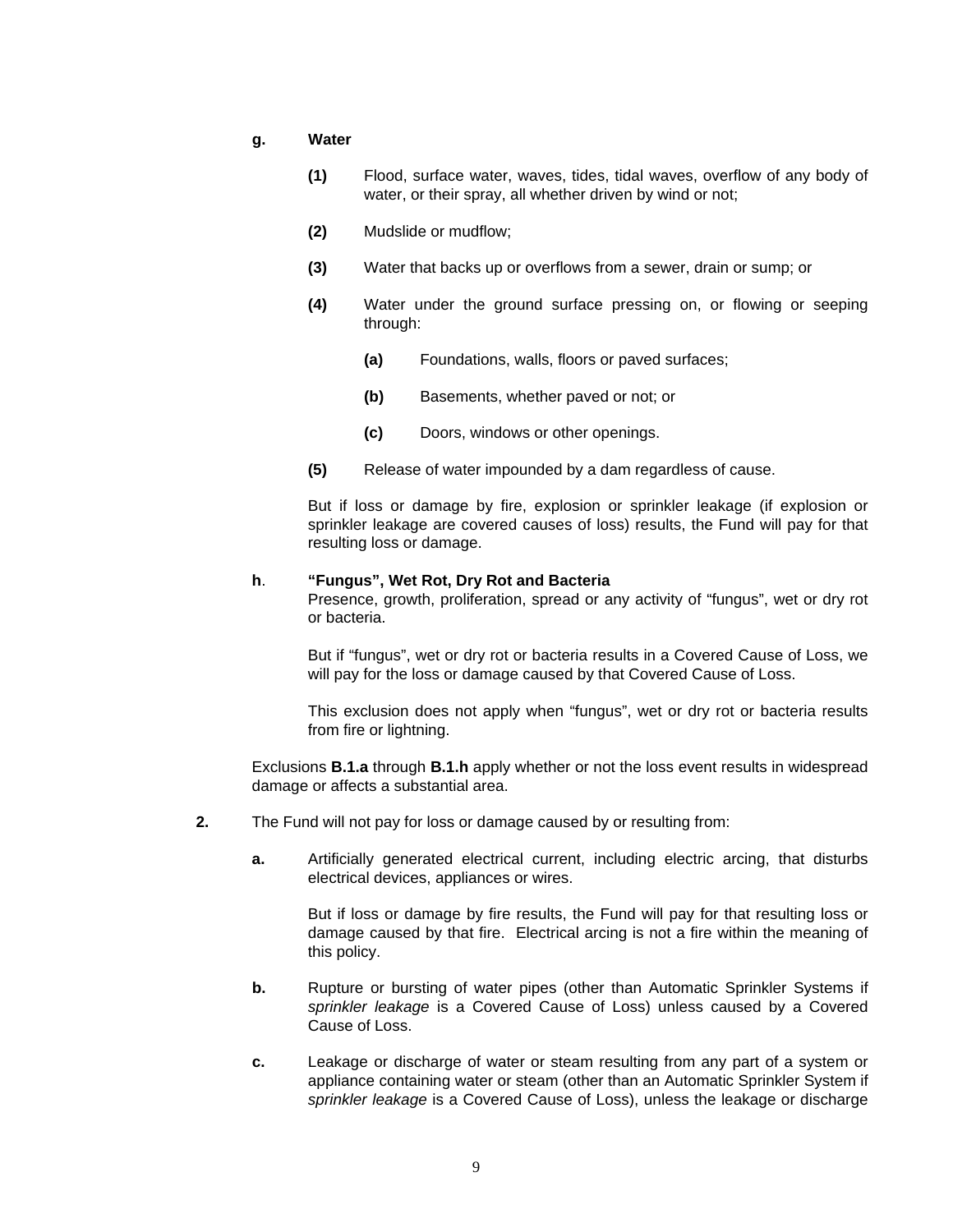#### **g. Water**

- **(1)** Flood, surface water, waves, tides, tidal waves, overflow of any body of water, or their spray, all whether driven by wind or not;
- **(2)** Mudslide or mudflow;
- **(3)** Water that backs up or overflows from a sewer, drain or sump; or
- **(4)** Water under the ground surface pressing on, or flowing or seeping through:
	- **(a)** Foundations, walls, floors or paved surfaces;
	- **(b)** Basements, whether paved or not; or
	- **(c)** Doors, windows or other openings.
- **(5)** Release of water impounded by a dam regardless of cause.

 But if loss or damage by fire, explosion or sprinkler leakage (if explosion or sprinkler leakage are covered causes of loss) results, the Fund will pay for that resulting loss or damage.

#### **h**. **"Fungus", Wet Rot, Dry Rot and Bacteria**

Presence, growth, proliferation, spread or any activity of "fungus", wet or dry rot or bacteria.

But if "fungus", wet or dry rot or bacteria results in a Covered Cause of Loss, we will pay for the loss or damage caused by that Covered Cause of Loss.

This exclusion does not apply when "fungus", wet or dry rot or bacteria results from fire or lightning.

Exclusions **B.1.a** through **B.1.h** apply whether or not the loss event results in widespread damage or affects a substantial area.

- **2.** The Fund will not pay for loss or damage caused by or resulting from:
	- **a.** Artificially generated electrical current, including electric arcing, that disturbs electrical devices, appliances or wires.

 But if loss or damage by fire results, the Fund will pay for that resulting loss or damage caused by that fire. Electrical arcing is not a fire within the meaning of this policy.

- **b.** Rupture or bursting of water pipes (other than Automatic Sprinkler Systems if *sprinkler leakage* is a Covered Cause of Loss) unless caused by a Covered Cause of Loss.
- **c.** Leakage or discharge of water or steam resulting from any part of a system or appliance containing water or steam (other than an Automatic Sprinkler System if *sprinkler leakage* is a Covered Cause of Loss), unless the leakage or discharge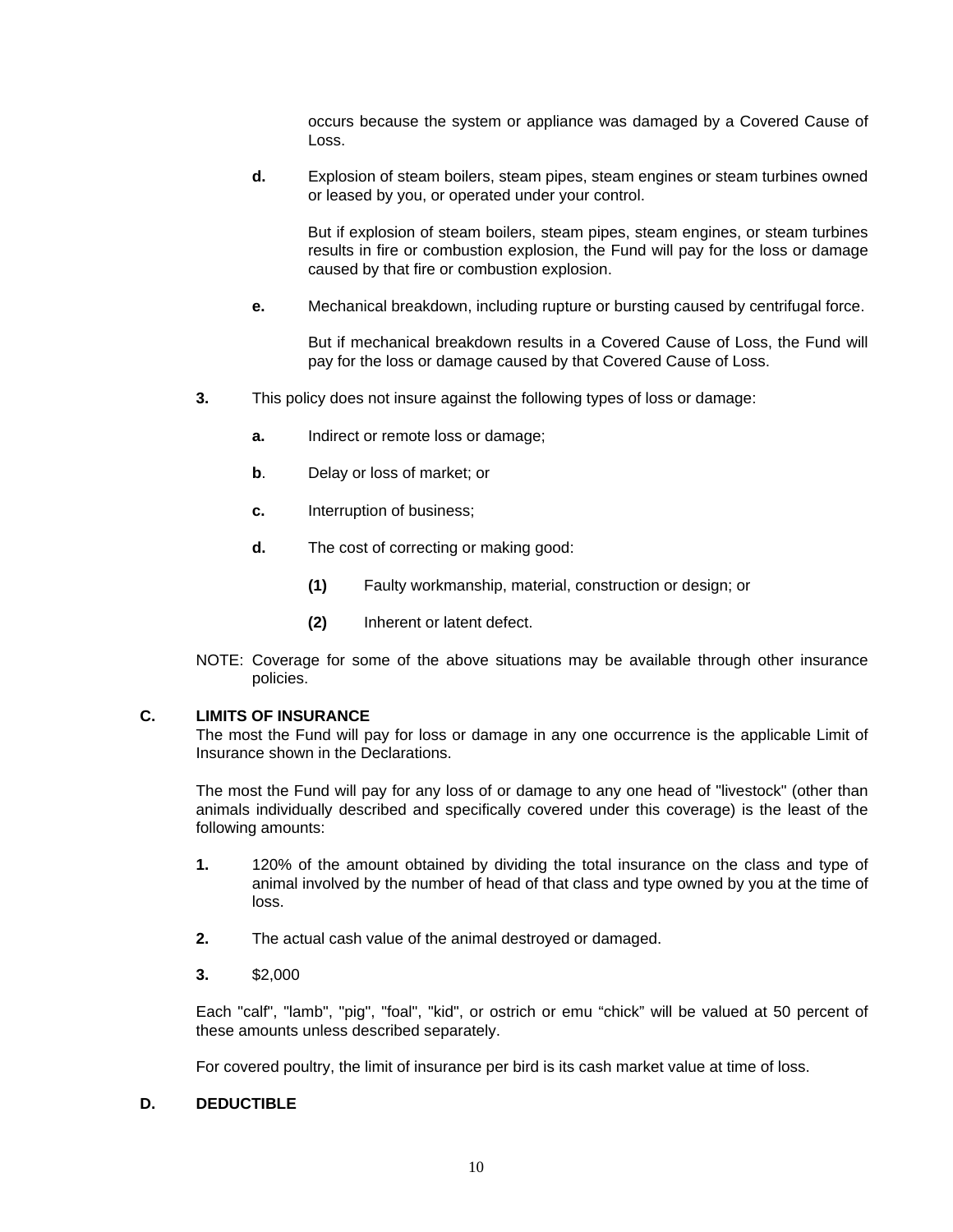occurs because the system or appliance was damaged by a Covered Cause of Loss.

 **d.** Explosion of steam boilers, steam pipes, steam engines or steam turbines owned or leased by you, or operated under your control.

 But if explosion of steam boilers, steam pipes, steam engines, or steam turbines results in fire or combustion explosion, the Fund will pay for the loss or damage caused by that fire or combustion explosion.

**e.** Mechanical breakdown, including rupture or bursting caused by centrifugal force.

 But if mechanical breakdown results in a Covered Cause of Loss, the Fund will pay for the loss or damage caused by that Covered Cause of Loss.

- **3.** This policy does not insure against the following types of loss or damage:
	- **a.** Indirect or remote loss or damage;
	- **b.** Delay or loss of market; or
	- **c.** Interruption of business;
	- **d.** The cost of correcting or making good:
		- **(1)** Faulty workmanship, material, construction or design; or
		- **(2)** Inherent or latent defect.
- NOTE: Coverage for some of the above situations may be available through other insurance policies.

#### **C. LIMITS OF INSURANCE**

 The most the Fund will pay for loss or damage in any one occurrence is the applicable Limit of Insurance shown in the Declarations.

 The most the Fund will pay for any loss of or damage to any one head of "livestock" (other than animals individually described and specifically covered under this coverage) is the least of the following amounts:

- **1.** 120% of the amount obtained by dividing the total insurance on the class and type of animal involved by the number of head of that class and type owned by you at the time of loss.
- **2.** The actual cash value of the animal destroyed or damaged.
- **3.** \$2,000

 Each "calf", "lamb", "pig", "foal", "kid", or ostrich or emu "chick" will be valued at 50 percent of these amounts unless described separately.

For covered poultry, the limit of insurance per bird is its cash market value at time of loss.

### **D. DEDUCTIBLE**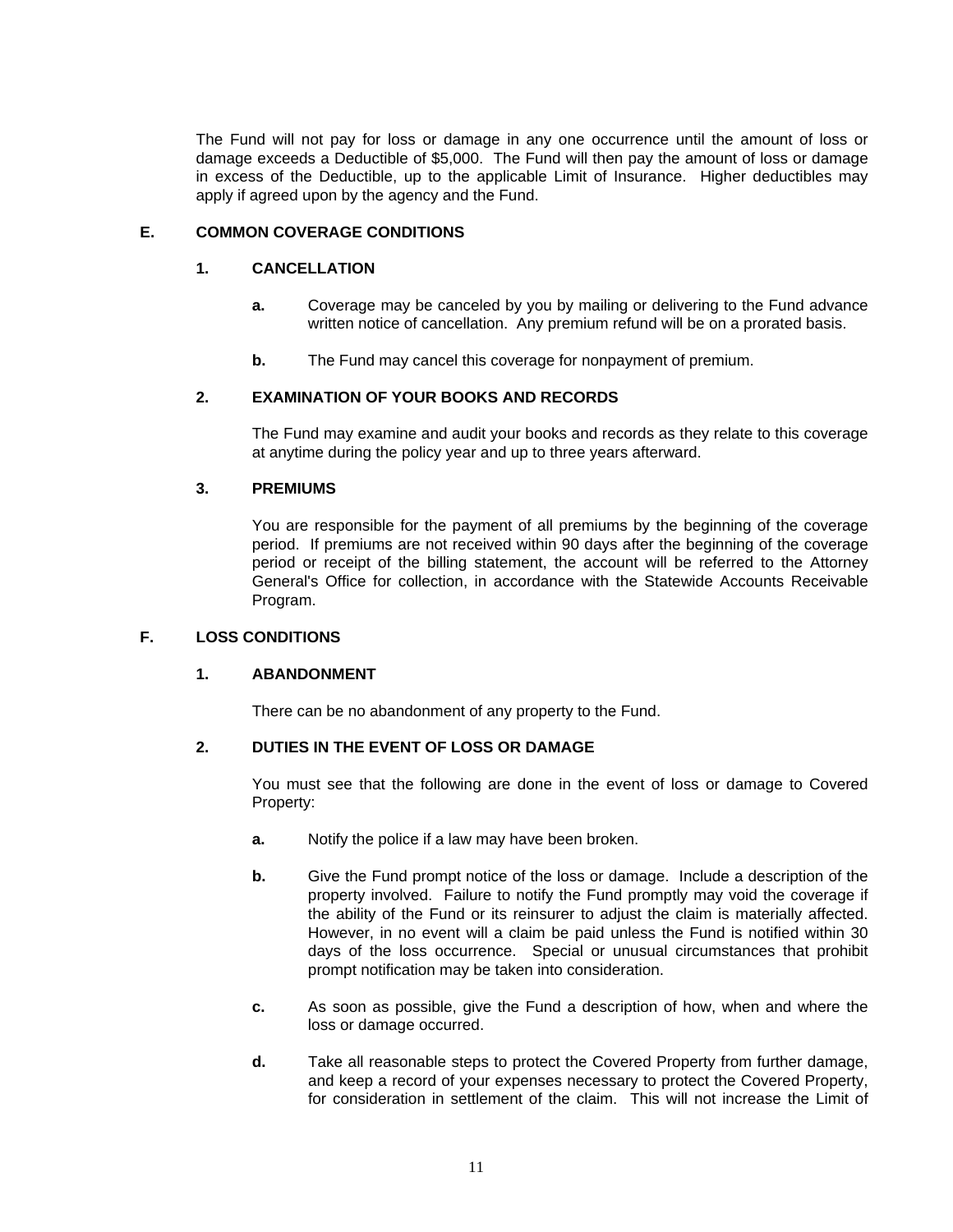The Fund will not pay for loss or damage in any one occurrence until the amount of loss or damage exceeds a Deductible of \$5,000. The Fund will then pay the amount of loss or damage in excess of the Deductible, up to the applicable Limit of Insurance. Higher deductibles may apply if agreed upon by the agency and the Fund.

## **E. COMMON COVERAGE CONDITIONS**

## **1. CANCELLATION**

- **a.** Coverage may be canceled by you by mailing or delivering to the Fund advance written notice of cancellation. Any premium refund will be on a prorated basis.
- **b.** The Fund may cancel this coverage for nonpayment of premium.

# **2. EXAMINATION OF YOUR BOOKS AND RECORDS**

 The Fund may examine and audit your books and records as they relate to this coverage at anytime during the policy year and up to three years afterward.

## **3. PREMIUMS**

 You are responsible for the payment of all premiums by the beginning of the coverage period. If premiums are not received within 90 days after the beginning of the coverage period or receipt of the billing statement, the account will be referred to the Attorney General's Office for collection, in accordance with the Statewide Accounts Receivable Program.

## **F. LOSS CONDITIONS**

#### **1. ABANDONMENT**

There can be no abandonment of any property to the Fund.

## **2. DUTIES IN THE EVENT OF LOSS OR DAMAGE**

 You must see that the following are done in the event of loss or damage to Covered Property:

- **a.** Notify the police if a law may have been broken.
- **b.** Give the Fund prompt notice of the loss or damage. Include a description of the property involved. Failure to notify the Fund promptly may void the coverage if the ability of the Fund or its reinsurer to adjust the claim is materially affected. However, in no event will a claim be paid unless the Fund is notified within 30 days of the loss occurrence. Special or unusual circumstances that prohibit prompt notification may be taken into consideration.
- **c.** As soon as possible, give the Fund a description of how, when and where the loss or damage occurred.
- **d.** Take all reasonable steps to protect the Covered Property from further damage, and keep a record of your expenses necessary to protect the Covered Property, for consideration in settlement of the claim. This will not increase the Limit of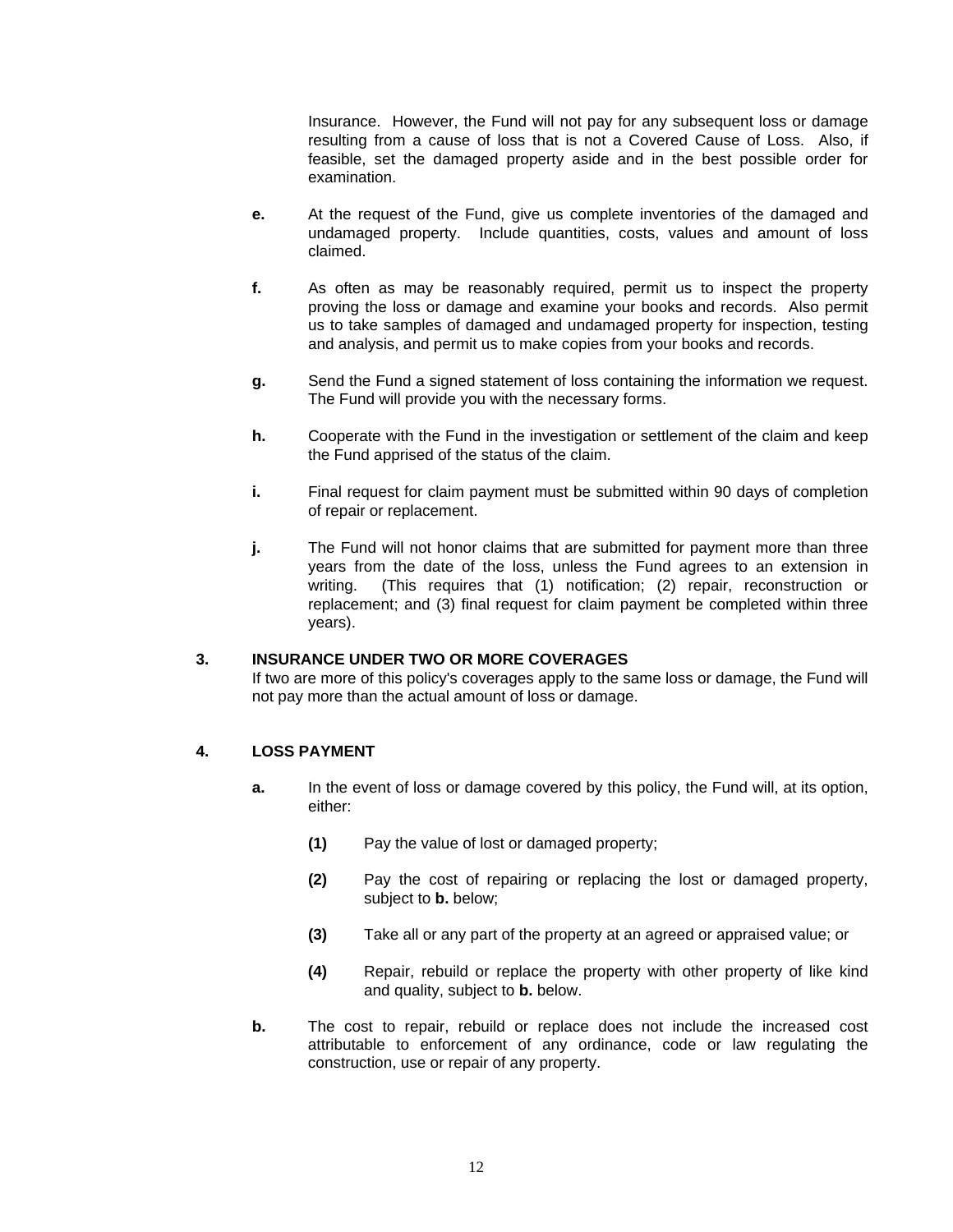Insurance. However, the Fund will not pay for any subsequent loss or damage resulting from a cause of loss that is not a Covered Cause of Loss. Also, if feasible, set the damaged property aside and in the best possible order for examination.

- **e.** At the request of the Fund, give us complete inventories of the damaged and undamaged property. Include quantities, costs, values and amount of loss claimed.
- **f.** As often as may be reasonably required, permit us to inspect the property proving the loss or damage and examine your books and records. Also permit us to take samples of damaged and undamaged property for inspection, testing and analysis, and permit us to make copies from your books and records.
- **g.** Send the Fund a signed statement of loss containing the information we request. The Fund will provide you with the necessary forms.
- **h.** Cooperate with the Fund in the investigation or settlement of the claim and keep the Fund apprised of the status of the claim.
- **i.** Final request for claim payment must be submitted within 90 days of completion of repair or replacement.
- **j.** The Fund will not honor claims that are submitted for payment more than three years from the date of the loss, unless the Fund agrees to an extension in writing. (This requires that (1) notification; (2) repair, reconstruction or replacement; and (3) final request for claim payment be completed within three years).

#### **3. INSURANCE UNDER TWO OR MORE COVERAGES**

 If two are more of this policy's coverages apply to the same loss or damage, the Fund will not pay more than the actual amount of loss or damage.

## **4. LOSS PAYMENT**

- **a.** In the event of loss or damage covered by this policy, the Fund will, at its option, either:
	- **(1)** Pay the value of lost or damaged property;
	- **(2)** Pay the cost of repairing or replacing the lost or damaged property, subject to **b.** below;
	- **(3)** Take all or any part of the property at an agreed or appraised value; or
	- **(4)** Repair, rebuild or replace the property with other property of like kind and quality, subject to **b.** below.
- **b.** The cost to repair, rebuild or replace does not include the increased cost attributable to enforcement of any ordinance, code or law regulating the construction, use or repair of any property.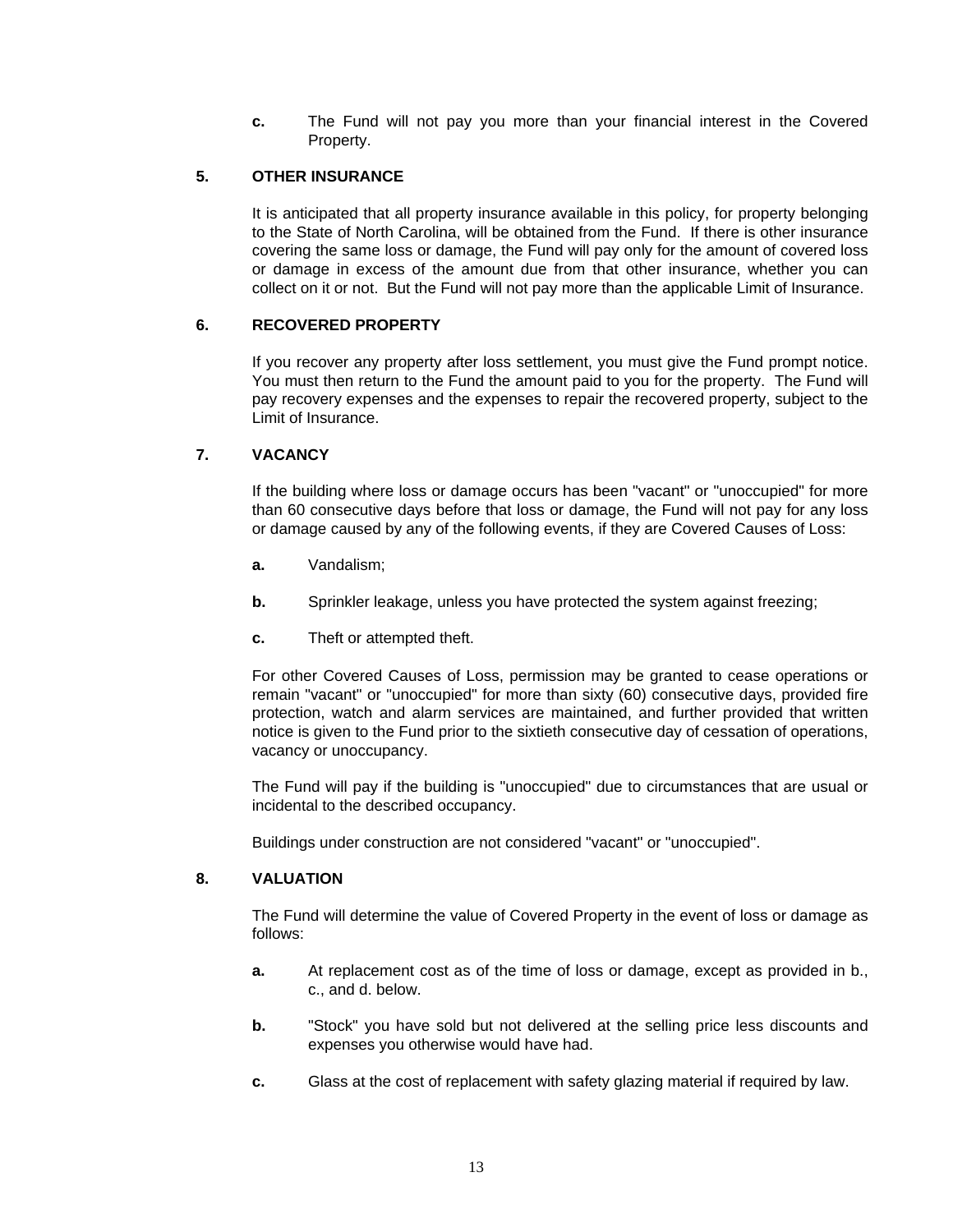**c.** The Fund will not pay you more than your financial interest in the Covered Property.

## **5. OTHER INSURANCE**

 It is anticipated that all property insurance available in this policy, for property belonging to the State of North Carolina, will be obtained from the Fund. If there is other insurance covering the same loss or damage, the Fund will pay only for the amount of covered loss or damage in excess of the amount due from that other insurance, whether you can collect on it or not. But the Fund will not pay more than the applicable Limit of Insurance.

## **6. RECOVERED PROPERTY**

 If you recover any property after loss settlement, you must give the Fund prompt notice. You must then return to the Fund the amount paid to you for the property. The Fund will pay recovery expenses and the expenses to repair the recovered property, subject to the Limit of Insurance.

# **7. VACANCY**

 If the building where loss or damage occurs has been "vacant" or "unoccupied" for more than 60 consecutive days before that loss or damage, the Fund will not pay for any loss or damage caused by any of the following events, if they are Covered Causes of Loss:

- **a.** Vandalism;
- **b.** Sprinkler leakage, unless you have protected the system against freezing;
- **c.** Theft or attempted theft.

 For other Covered Causes of Loss, permission may be granted to cease operations or remain "vacant" or "unoccupied" for more than sixty (60) consecutive days, provided fire protection, watch and alarm services are maintained, and further provided that written notice is given to the Fund prior to the sixtieth consecutive day of cessation of operations, vacancy or unoccupancy.

 The Fund will pay if the building is "unoccupied" due to circumstances that are usual or incidental to the described occupancy.

Buildings under construction are not considered "vacant" or "unoccupied".

## **8. VALUATION**

 The Fund will determine the value of Covered Property in the event of loss or damage as follows:

- **a.** At replacement cost as of the time of loss or damage, except as provided in b., c., and d. below.
- **b.** "Stock" you have sold but not delivered at the selling price less discounts and expenses you otherwise would have had.
- **c.** Glass at the cost of replacement with safety glazing material if required by law.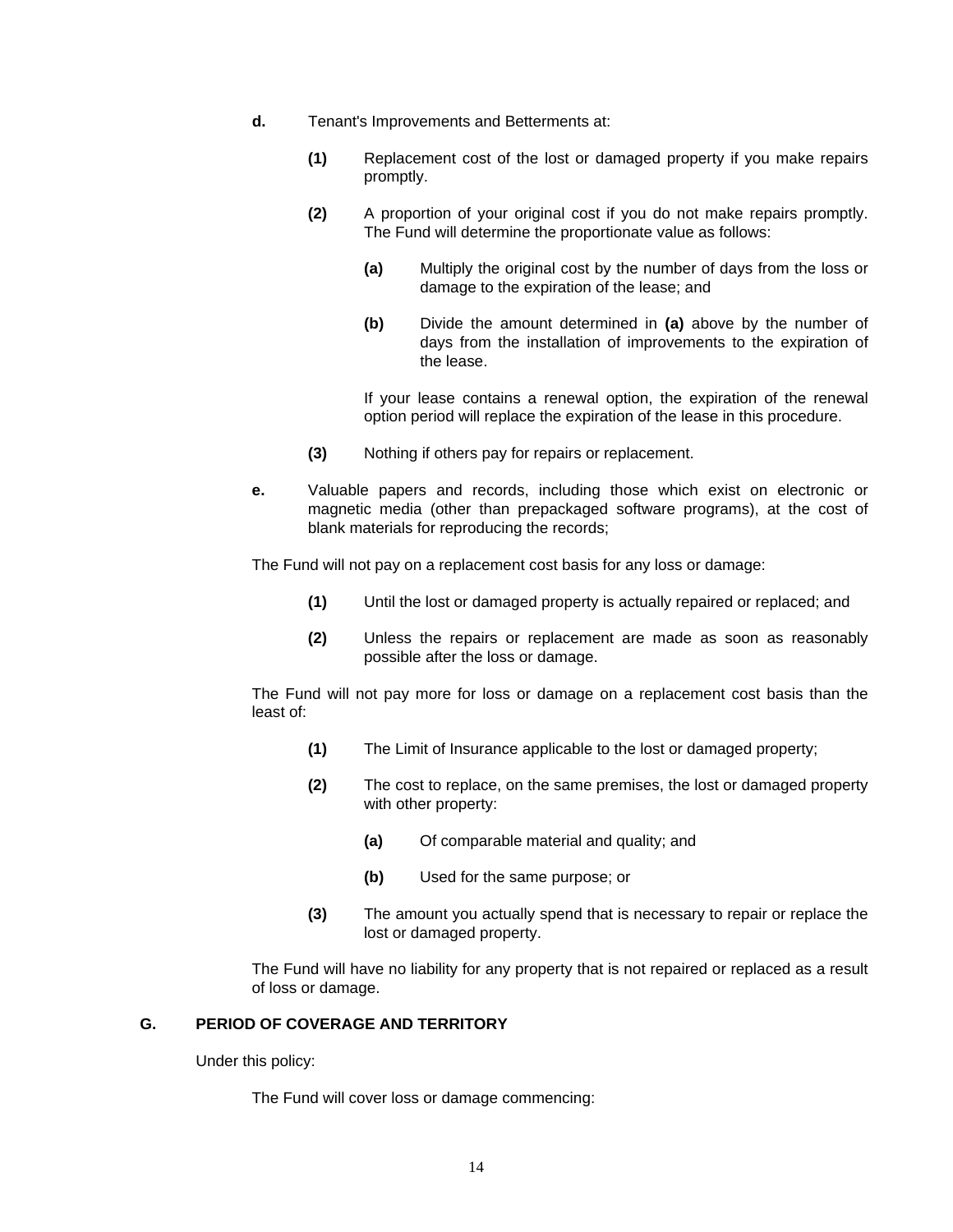- **d.** Tenant's Improvements and Betterments at:
	- **(1)** Replacement cost of the lost or damaged property if you make repairs promptly.
	- **(2)** A proportion of your original cost if you do not make repairs promptly. The Fund will determine the proportionate value as follows:
		- **(a)** Multiply the original cost by the number of days from the loss or damage to the expiration of the lease; and
		- **(b)** Divide the amount determined in **(a)** above by the number of days from the installation of improvements to the expiration of the lease.

 If your lease contains a renewal option, the expiration of the renewal option period will replace the expiration of the lease in this procedure.

- **(3)** Nothing if others pay for repairs or replacement.
- **e.** Valuable papers and records, including those which exist on electronic or magnetic media (other than prepackaged software programs), at the cost of blank materials for reproducing the records;

The Fund will not pay on a replacement cost basis for any loss or damage:

- **(1)** Until the lost or damaged property is actually repaired or replaced; and
- **(2)** Unless the repairs or replacement are made as soon as reasonably possible after the loss or damage.

 The Fund will not pay more for loss or damage on a replacement cost basis than the least of:

- **(1)** The Limit of Insurance applicable to the lost or damaged property;
- **(2)** The cost to replace, on the same premises, the lost or damaged property with other property:
	- **(a)** Of comparable material and quality; and
	- **(b)** Used for the same purpose; or
- **(3)** The amount you actually spend that is necessary to repair or replace the lost or damaged property.

 The Fund will have no liability for any property that is not repaired or replaced as a result of loss or damage.

### **G. PERIOD OF COVERAGE AND TERRITORY**

Under this policy:

The Fund will cover loss or damage commencing: